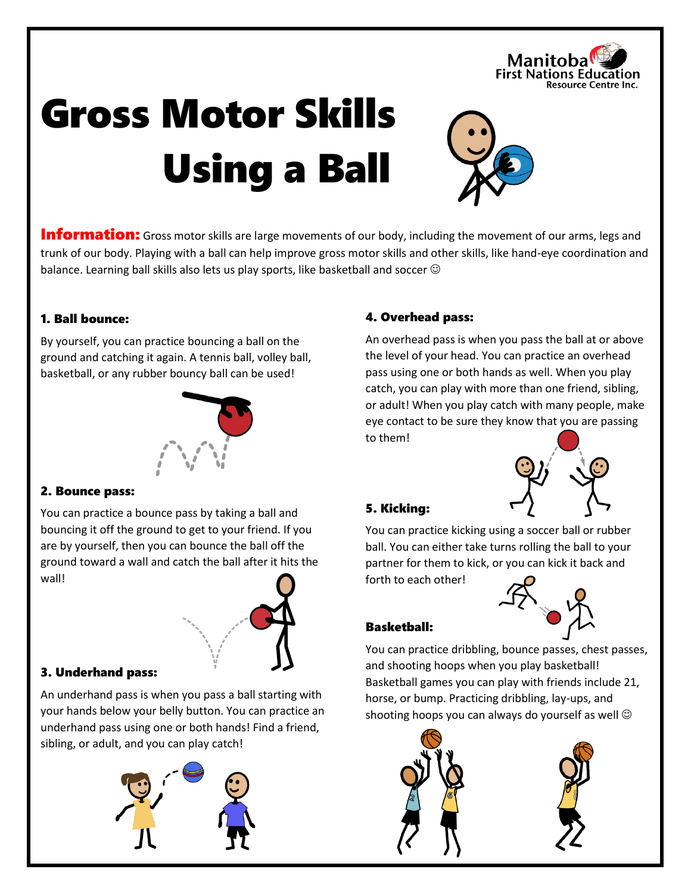

# Gross Motor Skills Using a Ball



**Information:** Gross motor skills are large movements of our body, including the movement of our arms, legs and trunk of our body. Playing with a ball can help improve gross motor skills and other skills, like hand-eye coordination and balance. Learning ball skills also lets us play sports, like basketball and soccer  $\odot$ 

## 1. Ball bounce:

By yourself, you can practice bouncing a ball on the ground and catching it again. A tennis ball, volley ball, basketball, or any rubber bouncy ball can be used!



## 2. Bounce pass:

You can practice a bounce pass by taking a ball and bouncing it off the ground to get to your friend. If you are by yourself, then you can bounce the ball off the ground toward a wall and catch the ball after it hits the wall!



# 3. Underhand pass:

An underhand pass is when you pass a ball starting with your hands below your belly button. You can practice an underhand pass using one or both hands! Find a friend, sibling, or adult, and you can play catch!



## 4. Overhead pass:

An overhead pass is when you pass the ball at or above the level of your head. You can practice an overhead pass using one or both hands as well. When you play catch, you can play with more than one friend, sibling, or adult! When you play catch with many people, make eye contact to be sure they know that you are passing to them!



## 5. Kicking:

You can practice kicking using a soccer ball or rubber ball. You can either take turns rolling the ball to your partner for them to kick, or you can kick it back and

forth to each other!



# Basketball:

You can practice dribbling, bounce passes, chest passes, and shooting hoops when you play basketball! Basketball games you can play with friends include 21, horse, or bump. Practicing dribbling, lay-ups, and shooting hoops you can always do yourself as well  $\odot$